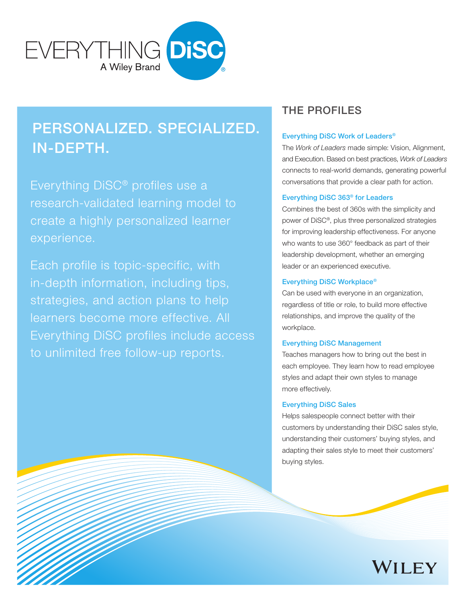

# PERSONALIZED. SPECIALIZED. IN-DEPTH.

Everything DiSC® profiles use a research-validated learning model to create a highly personalized learner experience.

Each profile is topic-specific, with in-depth information, including tips, strategies, and action plans to help learners become more effective. All Everything DiSC profiles include access to unlimited free follow-up reports.

# THE PROFILES

### Everything DiSC Work of Leaders®

The *Work of Leaders* made simple: Vision, Alignment, and Execution. Based on best practices, *Work of Leaders* connects to real-world demands, generating powerful conversations that provide a clear path for action.

### Everything DiSC 363® for Leaders

Combines the best of 360s with the simplicity and power of DiSC®, plus three personalized strategies for improving leadership effectiveness. For anyone who wants to use 360° feedback as part of their leadership development, whether an emerging leader or an experienced executive.

#### Everything DiSC Workplace®

Can be used with everyone in an organization, regardless of title or role, to build more effective relationships, and improve the quality of the workplace.

#### Everything DiSC Management

Teaches managers how to bring out the best in each employee. They learn how to read employee styles and adapt their own styles to manage more effectively.

### Everything DiSC Sales

Helps salespeople connect better with their customers by understanding their DiSC sales style, understanding their customers' buying styles, and adapting their sales style to meet their customers' buying styles.